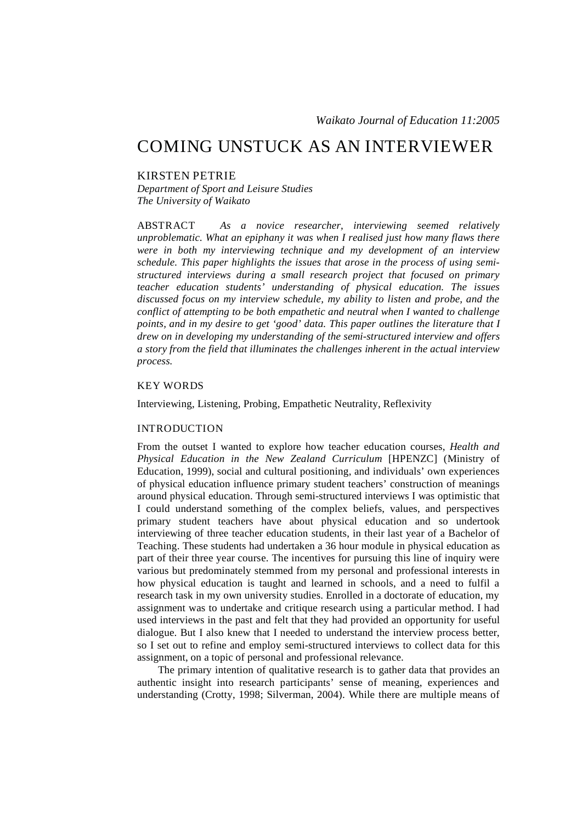# COMING UNSTUCK AS AN INTERVIEWER

## KIRSTEN PETRIE

*Department of Sport and Leisure Studies The University of Waikato* 

ABSTRACT *As a novice researcher, interviewing seemed relatively unproblematic. What an epiphany it was when I realised just how many flaws there were in both my interviewing technique and my development of an interview schedule. This paper highlights the issues that arose in the process of using semistructured interviews during a small research project that focused on primary teacher education students' understanding of physical education. The issues discussed focus on my interview schedule, my ability to listen and probe, and the conflict of attempting to be both empathetic and neutral when I wanted to challenge points, and in my desire to get 'good' data. This paper outlines the literature that I drew on in developing my understanding of the semi-structured interview and offers a story from the field that illuminates the challenges inherent in the actual interview process.* 

## KEY WORDS

Interviewing, Listening, Probing, Empathetic Neutrality, Reflexivity

### INTRODUCTION

From the outset I wanted to explore how teacher education courses, *Health and Physical Education in the New Zealand Curriculum* [HPENZC] (Ministry of Education, 1999), social and cultural positioning, and individuals' own experiences of physical education influence primary student teachers' construction of meanings around physical education. Through semi-structured interviews I was optimistic that I could understand something of the complex beliefs, values, and perspectives primary student teachers have about physical education and so undertook interviewing of three teacher education students, in their last year of a Bachelor of Teaching. These students had undertaken a 36 hour module in physical education as part of their three year course. The incentives for pursuing this line of inquiry were various but predominately stemmed from my personal and professional interests in how physical education is taught and learned in schools, and a need to fulfil a research task in my own university studies. Enrolled in a doctorate of education, my assignment was to undertake and critique research using a particular method. I had used interviews in the past and felt that they had provided an opportunity for useful dialogue. But I also knew that I needed to understand the interview process better, so I set out to refine and employ semi-structured interviews to collect data for this assignment, on a topic of personal and professional relevance.

The primary intention of qualitative research is to gather data that provides an authentic insight into research participants' sense of meaning, experiences and understanding (Crotty, 1998; Silverman, 2004). While there are multiple means of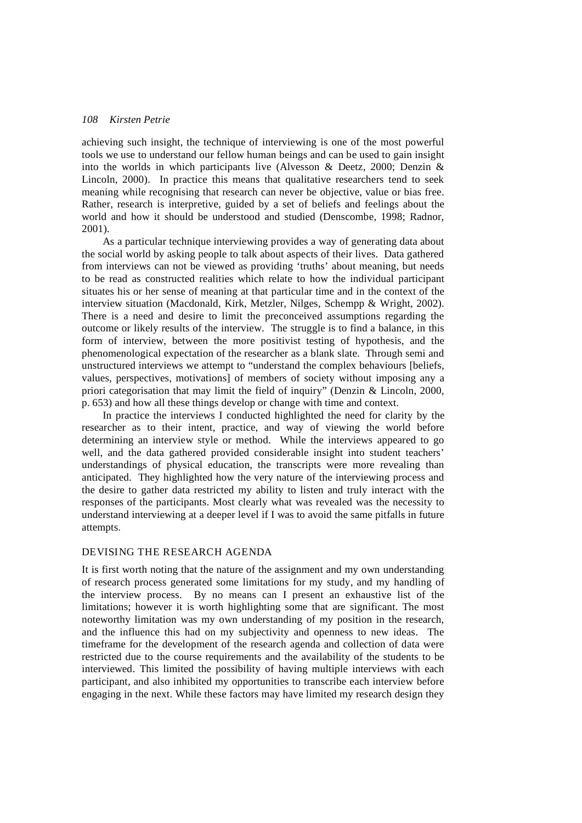achieving such insight, the technique of interviewing is one of the most powerful tools we use to understand our fellow human beings and can be used to gain insight into the worlds in which participants live (Alvesson & Deetz, 2000; Denzin & Lincoln, 2000). In practice this means that qualitative researchers tend to seek meaning while recognising that research can never be objective, value or bias free. Rather, research is interpretive, guided by a set of beliefs and feelings about the world and how it should be understood and studied (Denscombe, 1998; Radnor, 2001).

As a particular technique interviewing provides a way of generating data about the social world by asking people to talk about aspects of their lives. Data gathered from interviews can not be viewed as providing 'truths' about meaning, but needs to be read as constructed realities which relate to how the individual participant situates his or her sense of meaning at that particular time and in the context of the interview situation (Macdonald, Kirk, Metzler, Nilges, Schempp & Wright, 2002). There is a need and desire to limit the preconceived assumptions regarding the outcome or likely results of the interview. The struggle is to find a balance, in this form of interview, between the more positivist testing of hypothesis, and the phenomenological expectation of the researcher as a blank slate. Through semi and unstructured interviews we attempt to "understand the complex behaviours [beliefs, values, perspectives, motivations] of members of society without imposing any a priori categorisation that may limit the field of inquiry" (Denzin & Lincoln, 2000, p. 653) and how all these things develop or change with time and context.

In practice the interviews I conducted highlighted the need for clarity by the researcher as to their intent, practice, and way of viewing the world before determining an interview style or method. While the interviews appeared to go well, and the data gathered provided considerable insight into student teachers' understandings of physical education, the transcripts were more revealing than anticipated. They highlighted how the very nature of the interviewing process and the desire to gather data restricted my ability to listen and truly interact with the responses of the participants. Most clearly what was revealed was the necessity to understand interviewing at a deeper level if I was to avoid the same pitfalls in future attempts.

## DEVISING THE RESEARCH AGENDA

It is first worth noting that the nature of the assignment and my own understanding of research process generated some limitations for my study, and my handling of the interview process. By no means can I present an exhaustive list of the limitations; however it is worth highlighting some that are significant. The most noteworthy limitation was my own understanding of my position in the research, and the influence this had on my subjectivity and openness to new ideas. The timeframe for the development of the research agenda and collection of data were restricted due to the course requirements and the availability of the students to be interviewed. This limited the possibility of having multiple interviews with each participant, and also inhibited my opportunities to transcribe each interview before engaging in the next. While these factors may have limited my research design they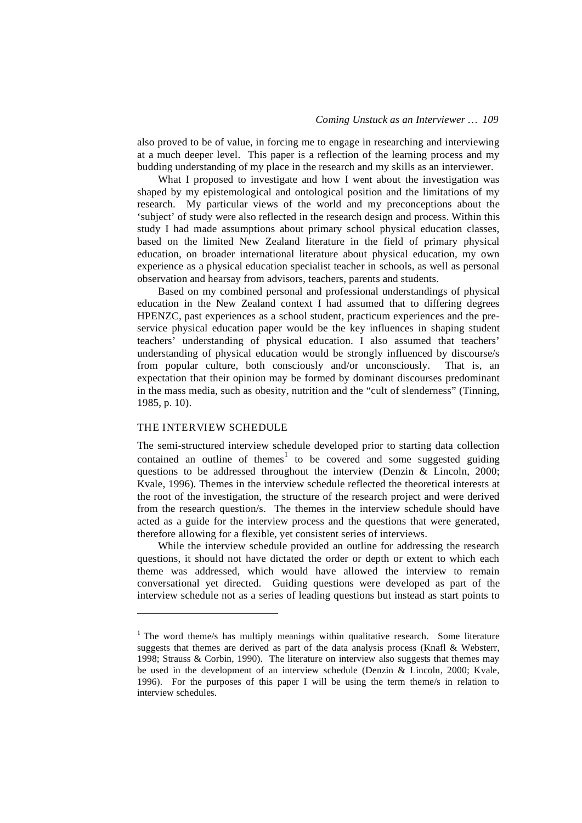also proved to be of value, in forcing me to engage in researching and interviewing at a much deeper level. This paper is a reflection of the learning process and my budding understanding of my place in the research and my skills as an interviewer.

What I proposed to investigate and how I went about the investigation was shaped by my epistemological and ontological position and the limitations of my research. My particular views of the world and my preconceptions about the 'subject' of study were also reflected in the research design and process. Within this study I had made assumptions about primary school physical education classes, based on the limited New Zealand literature in the field of primary physical education, on broader international literature about physical education, my own experience as a physical education specialist teacher in schools, as well as personal observation and hearsay from advisors, teachers, parents and students.

Based on my combined personal and professional understandings of physical education in the New Zealand context I had assumed that to differing degrees HPENZC, past experiences as a school student, practicum experiences and the preservice physical education paper would be the key influences in shaping student teachers' understanding of physical education. I also assumed that teachers' understanding of physical education would be strongly influenced by discourse/s from popular culture, both consciously and/or unconsciously. That is, an expectation that their opinion may be formed by dominant discourses predominant in the mass media, such as obesity, nutrition and the "cult of slenderness" (Tinning, 1985, p. 10).

### THE INTERVIEW SCHEDULE

 $\overline{a}$ 

The semi-structured interview schedule developed prior to starting data collection contained an outline of themes<sup>1</sup> to be covered and some suggested guiding questions to be addressed throughout the interview (Denzin & Lincoln, 2000; Kvale, 1996). Themes in the interview schedule reflected the theoretical interests at the root of the investigation, the structure of the research project and were derived from the research question/s. The themes in the interview schedule should have acted as a guide for the interview process and the questions that were generated, therefore allowing for a flexible, yet consistent series of interviews.

While the interview schedule provided an outline for addressing the research questions, it should not have dictated the order or depth or extent to which each theme was addressed, which would have allowed the interview to remain conversational yet directed. Guiding questions were developed as part of the interview schedule not as a series of leading questions but instead as start points to

<sup>&</sup>lt;sup>1</sup> The word theme/s has multiply meanings within qualitative research. Some literature suggests that themes are derived as part of the data analysis process (Knafl & Websterr, 1998; Strauss & Corbin, 1990). The literature on interview also suggests that themes may be used in the development of an interview schedule (Denzin & Lincoln, 2000; Kvale, 1996). For the purposes of this paper I will be using the term theme/s in relation to interview schedules.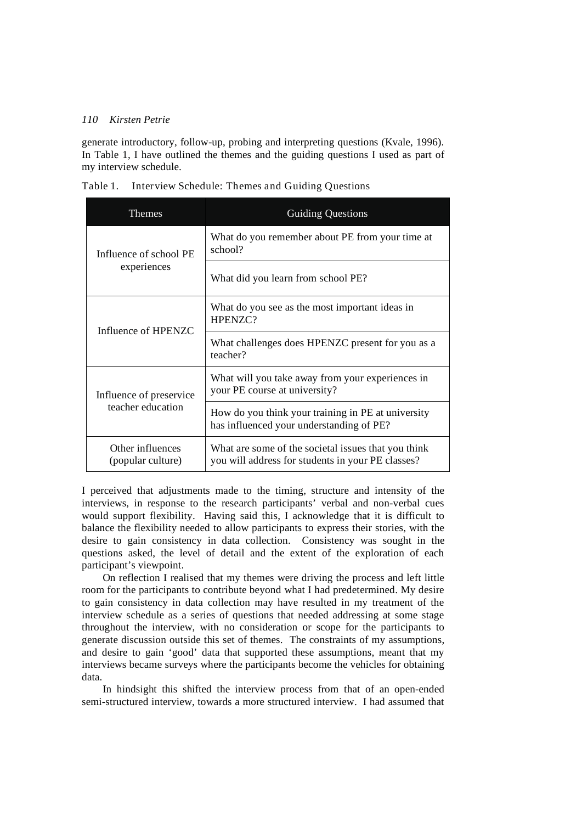generate introductory, follow-up, probing and interpreting questions (Kvale, 1996). In Table 1, I have outlined the themes and the guiding questions I used as part of my interview schedule.

| Table 1. |  |  | Interview Schedule: Themes and Guiding Questions |  |  |
|----------|--|--|--------------------------------------------------|--|--|
|----------|--|--|--------------------------------------------------|--|--|

| Themes                                | <b>Guiding Questions</b>                                                                                 |  |  |
|---------------------------------------|----------------------------------------------------------------------------------------------------------|--|--|
| Influence of school PE                | What do you remember about PE from your time at<br>school?                                               |  |  |
| experiences                           | What did you learn from school PE?                                                                       |  |  |
| Influence of HPENZC                   | What do you see as the most important ideas in<br>HPENZC?                                                |  |  |
|                                       | What challenges does HPENZC present for you as a<br>teacher?                                             |  |  |
| Influence of preservice               | What will you take away from your experiences in<br>your PE course at university?                        |  |  |
| teacher education                     | How do you think your training in PE at university<br>has influenced your understanding of PE?           |  |  |
| Other influences<br>(popular culture) | What are some of the societal issues that you think<br>you will address for students in your PE classes? |  |  |

I perceived that adjustments made to the timing, structure and intensity of the interviews, in response to the research participants' verbal and non-verbal cues would support flexibility. Having said this, I acknowledge that it is difficult to balance the flexibility needed to allow participants to express their stories, with the desire to gain consistency in data collection. Consistency was sought in the questions asked, the level of detail and the extent of the exploration of each participant's viewpoint.

On reflection I realised that my themes were driving the process and left little room for the participants to contribute beyond what I had predetermined. My desire to gain consistency in data collection may have resulted in my treatment of the interview schedule as a series of questions that needed addressing at some stage throughout the interview, with no consideration or scope for the participants to generate discussion outside this set of themes. The constraints of my assumptions, and desire to gain 'good' data that supported these assumptions, meant that my interviews became surveys where the participants become the vehicles for obtaining data.

In hindsight this shifted the interview process from that of an open-ended semi-structured interview, towards a more structured interview. I had assumed that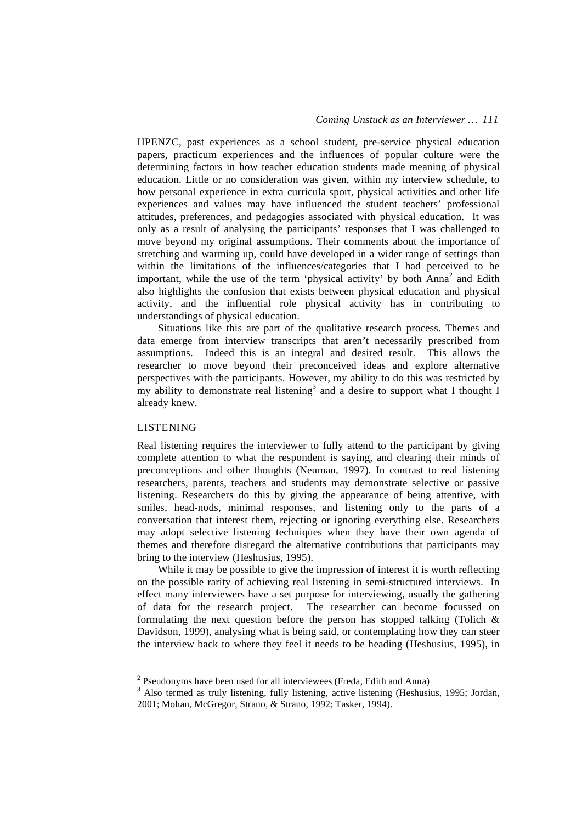HPENZC, past experiences as a school student, pre-service physical education papers, practicum experiences and the influences of popular culture were the determining factors in how teacher education students made meaning of physical education. Little or no consideration was given, within my interview schedule, to how personal experience in extra curricula sport, physical activities and other life experiences and values may have influenced the student teachers' professional attitudes, preferences, and pedagogies associated with physical education. It was only as a result of analysing the participants' responses that I was challenged to move beyond my original assumptions. Their comments about the importance of stretching and warming up, could have developed in a wider range of settings than within the limitations of the influences/categories that I had perceived to be important, while the use of the term 'physical activity' by both Anna<sup>2</sup> and Edith also highlights the confusion that exists between physical education and physical activity, and the influential role physical activity has in contributing to understandings of physical education.

Situations like this are part of the qualitative research process. Themes and data emerge from interview transcripts that aren't necessarily prescribed from assumptions. Indeed this is an integral and desired result. This allows the researcher to move beyond their preconceived ideas and explore alternative perspectives with the participants. However, my ability to do this was restricted by my ability to demonstrate real listening<sup>3</sup> and a desire to support what I thought I already knew.

#### LISTENING

 $\overline{a}$ 

Real listening requires the interviewer to fully attend to the participant by giving complete attention to what the respondent is saying, and clearing their minds of preconceptions and other thoughts (Neuman, 1997). In contrast to real listening researchers, parents, teachers and students may demonstrate selective or passive listening. Researchers do this by giving the appearance of being attentive, with smiles, head-nods, minimal responses, and listening only to the parts of a conversation that interest them, rejecting or ignoring everything else. Researchers may adopt selective listening techniques when they have their own agenda of themes and therefore disregard the alternative contributions that participants may bring to the interview (Heshusius, 1995).

While it may be possible to give the impression of interest it is worth reflecting on the possible rarity of achieving real listening in semi-structured interviews. In effect many interviewers have a set purpose for interviewing, usually the gathering of data for the research project. The researcher can become focussed on formulating the next question before the person has stopped talking (Tolich  $\&$ Davidson, 1999), analysing what is being said, or contemplating how they can steer the interview back to where they feel it needs to be heading (Heshusius, 1995), in

 $2^{2}$  Pseudonyms have been used for all interviewees (Freda, Edith and Anna)

<sup>&</sup>lt;sup>3</sup> Also termed as truly listening, fully listening, active listening (Heshusius, 1995; Jordan, 2001; Mohan, McGregor, Strano, & Strano, 1992; Tasker, 1994).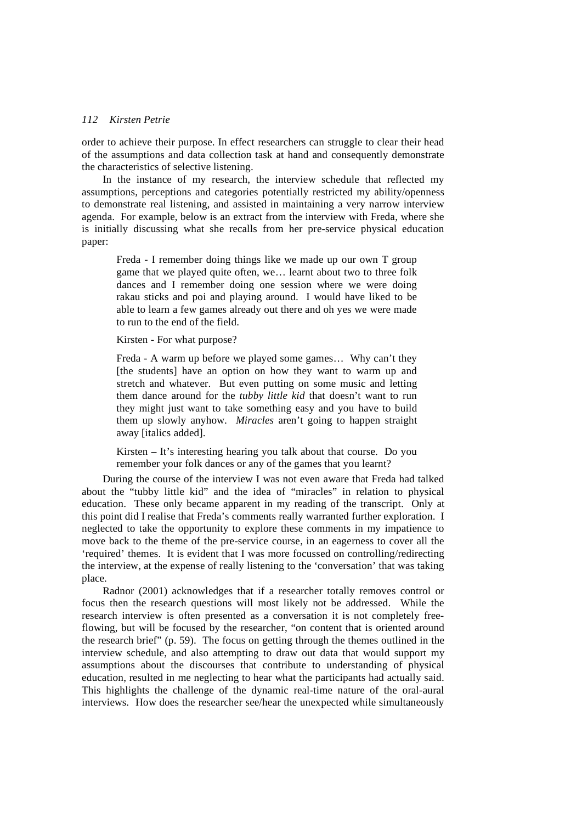order to achieve their purpose. In effect researchers can struggle to clear their head of the assumptions and data collection task at hand and consequently demonstrate the characteristics of selective listening.

In the instance of my research, the interview schedule that reflected my assumptions, perceptions and categories potentially restricted my ability/openness to demonstrate real listening, and assisted in maintaining a very narrow interview agenda. For example, below is an extract from the interview with Freda, where she is initially discussing what she recalls from her pre-service physical education paper:

Freda - I remember doing things like we made up our own T group game that we played quite often, we… learnt about two to three folk dances and I remember doing one session where we were doing rakau sticks and poi and playing around. I would have liked to be able to learn a few games already out there and oh yes we were made to run to the end of the field.

Kirsten - For what purpose?

Freda - A warm up before we played some games… Why can't they [the students] have an option on how they want to warm up and stretch and whatever. But even putting on some music and letting them dance around for the *tubby little kid* that doesn't want to run they might just want to take something easy and you have to build them up slowly anyhow. *Miracles* aren't going to happen straight away [italics added].

Kirsten – It's interesting hearing you talk about that course. Do you remember your folk dances or any of the games that you learnt?

During the course of the interview I was not even aware that Freda had talked about the "tubby little kid" and the idea of "miracles" in relation to physical education. These only became apparent in my reading of the transcript. Only at this point did I realise that Freda's comments really warranted further exploration. I neglected to take the opportunity to explore these comments in my impatience to move back to the theme of the pre-service course, in an eagerness to cover all the 'required' themes. It is evident that I was more focussed on controlling/redirecting the interview, at the expense of really listening to the 'conversation' that was taking place.

Radnor (2001) acknowledges that if a researcher totally removes control or focus then the research questions will most likely not be addressed. While the research interview is often presented as a conversation it is not completely freeflowing, but will be focused by the researcher, "on content that is oriented around the research brief" (p. 59). The focus on getting through the themes outlined in the interview schedule, and also attempting to draw out data that would support my assumptions about the discourses that contribute to understanding of physical education, resulted in me neglecting to hear what the participants had actually said. This highlights the challenge of the dynamic real-time nature of the oral-aural interviews. How does the researcher see/hear the unexpected while simultaneously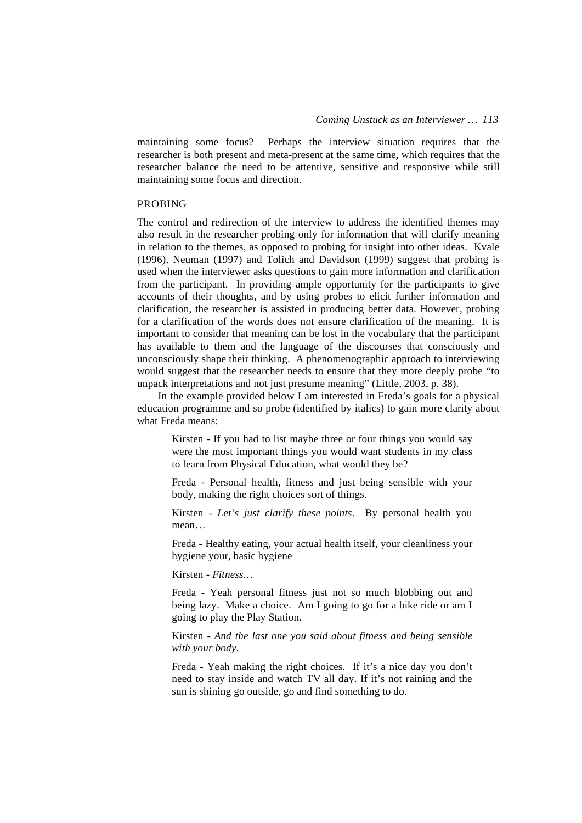maintaining some focus? Perhaps the interview situation requires that the researcher is both present and meta-present at the same time, which requires that the researcher balance the need to be attentive, sensitive and responsive while still maintaining some focus and direction.

#### PROBING

The control and redirection of the interview to address the identified themes may also result in the researcher probing only for information that will clarify meaning in relation to the themes, as opposed to probing for insight into other ideas. Kvale (1996), Neuman (1997) and Tolich and Davidson (1999) suggest that probing is used when the interviewer asks questions to gain more information and clarification from the participant. In providing ample opportunity for the participants to give accounts of their thoughts, and by using probes to elicit further information and clarification, the researcher is assisted in producing better data. However, probing for a clarification of the words does not ensure clarification of the meaning. It is important to consider that meaning can be lost in the vocabulary that the participant has available to them and the language of the discourses that consciously and unconsciously shape their thinking. A phenomenographic approach to interviewing would suggest that the researcher needs to ensure that they more deeply probe "to unpack interpretations and not just presume meaning" (Little, 2003, p. 38).

In the example provided below I am interested in Freda's goals for a physical education programme and so probe (identified by italics) to gain more clarity about what Freda means:

Kirsten - If you had to list maybe three or four things you would say were the most important things you would want students in my class to learn from Physical Education, what would they be?

Freda - Personal health, fitness and just being sensible with your body, making the right choices sort of things.

Kirsten - *Let's just clarify these points*. By personal health you mean…

Freda - Healthy eating, your actual health itself, your cleanliness your hygiene your, basic hygiene

Kirsten - *Fitness…*

Freda - Yeah personal fitness just not so much blobbing out and being lazy. Make a choice. Am I going to go for a bike ride or am I going to play the Play Station.

Kirsten - *And the last one you said about fitness and being sensible with your body*.

Freda - Yeah making the right choices. If it's a nice day you don't need to stay inside and watch TV all day. If it's not raining and the sun is shining go outside, go and find something to do.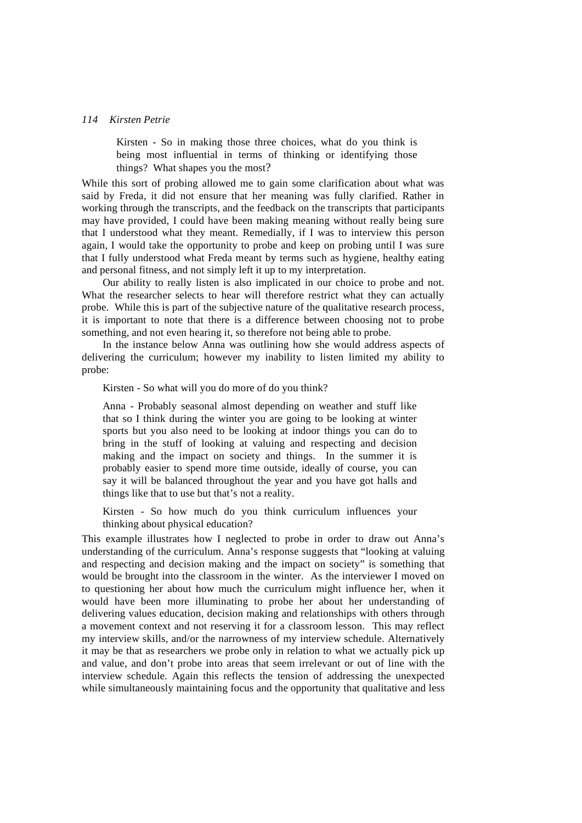Kirsten - So in making those three choices, what do you think is being most influential in terms of thinking or identifying those things? What shapes you the most?

While this sort of probing allowed me to gain some clarification about what was said by Freda, it did not ensure that her meaning was fully clarified. Rather in working through the transcripts, and the feedback on the transcripts that participants may have provided, I could have been making meaning without really being sure that I understood what they meant. Remedially, if I was to interview this person again, I would take the opportunity to probe and keep on probing until I was sure that I fully understood what Freda meant by terms such as hygiene, healthy eating and personal fitness, and not simply left it up to my interpretation.

Our ability to really listen is also implicated in our choice to probe and not. What the researcher selects to hear will therefore restrict what they can actually probe. While this is part of the subjective nature of the qualitative research process, it is important to note that there is a difference between choosing not to probe something, and not even hearing it, so therefore not being able to probe.

In the instance below Anna was outlining how she would address aspects of delivering the curriculum; however my inability to listen limited my ability to probe:

Kirsten - So what will you do more of do you think?

Anna - Probably seasonal almost depending on weather and stuff like that so I think during the winter you are going to be looking at winter sports but you also need to be looking at indoor things you can do to bring in the stuff of looking at valuing and respecting and decision making and the impact on society and things. In the summer it is probably easier to spend more time outside, ideally of course, you can say it will be balanced throughout the year and you have got halls and things like that to use but that's not a reality.

Kirsten - So how much do you think curriculum influences your thinking about physical education?

This example illustrates how I neglected to probe in order to draw out Anna's understanding of the curriculum. Anna's response suggests that "looking at valuing and respecting and decision making and the impact on society" is something that would be brought into the classroom in the winter. As the interviewer I moved on to questioning her about how much the curriculum might influence her, when it would have been more illuminating to probe her about her understanding of delivering values education, decision making and relationships with others through a movement context and not reserving it for a classroom lesson. This may reflect my interview skills, and/or the narrowness of my interview schedule. Alternatively it may be that as researchers we probe only in relation to what we actually pick up and value, and don't probe into areas that seem irrelevant or out of line with the interview schedule. Again this reflects the tension of addressing the unexpected while simultaneously maintaining focus and the opportunity that qualitative and less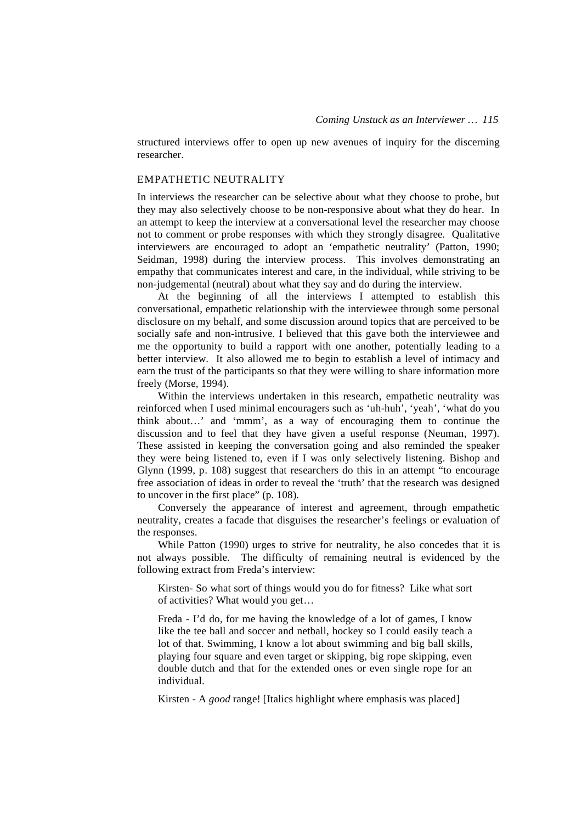structured interviews offer to open up new avenues of inquiry for the discerning researcher.

## EMPATHETIC NEUTRALITY

In interviews the researcher can be selective about what they choose to probe, but they may also selectively choose to be non-responsive about what they do hear. In an attempt to keep the interview at a conversational level the researcher may choose not to comment or probe responses with which they strongly disagree. Qualitative interviewers are encouraged to adopt an 'empathetic neutrality' (Patton, 1990; Seidman, 1998) during the interview process. This involves demonstrating an empathy that communicates interest and care, in the individual, while striving to be non-judgemental (neutral) about what they say and do during the interview.

At the beginning of all the interviews I attempted to establish this conversational, empathetic relationship with the interviewee through some personal disclosure on my behalf, and some discussion around topics that are perceived to be socially safe and non-intrusive. I believed that this gave both the interviewee and me the opportunity to build a rapport with one another, potentially leading to a better interview. It also allowed me to begin to establish a level of intimacy and earn the trust of the participants so that they were willing to share information more freely (Morse, 1994).

Within the interviews undertaken in this research, empathetic neutrality was reinforced when I used minimal encouragers such as 'uh-huh', 'yeah', 'what do you think about…' and 'mmm', as a way of encouraging them to continue the discussion and to feel that they have given a useful response (Neuman, 1997). These assisted in keeping the conversation going and also reminded the speaker they were being listened to, even if I was only selectively listening. Bishop and Glynn (1999, p. 108) suggest that researchers do this in an attempt "to encourage free association of ideas in order to reveal the 'truth' that the research was designed to uncover in the first place" (p. 108).

Conversely the appearance of interest and agreement, through empathetic neutrality, creates a facade that disguises the researcher's feelings or evaluation of the responses.

While Patton (1990) urges to strive for neutrality, he also concedes that it is not always possible. The difficulty of remaining neutral is evidenced by the following extract from Freda's interview:

Kirsten- So what sort of things would you do for fitness? Like what sort of activities? What would you get…

Freda - I'd do, for me having the knowledge of a lot of games, I know like the tee ball and soccer and netball, hockey so I could easily teach a lot of that. Swimming, I know a lot about swimming and big ball skills, playing four square and even target or skipping, big rope skipping, even double dutch and that for the extended ones or even single rope for an individual.

Kirsten - A *good* range! [Italics highlight where emphasis was placed]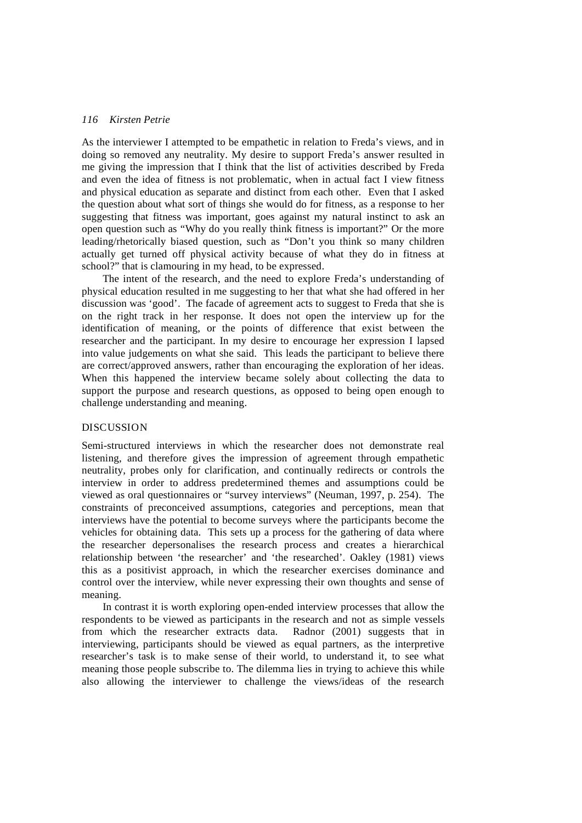As the interviewer I attempted to be empathetic in relation to Freda's views, and in doing so removed any neutrality. My desire to support Freda's answer resulted in me giving the impression that I think that the list of activities described by Freda and even the idea of fitness is not problematic, when in actual fact I view fitness and physical education as separate and distinct from each other. Even that I asked the question about what sort of things she would do for fitness, as a response to her suggesting that fitness was important, goes against my natural instinct to ask an open question such as "Why do you really think fitness is important?" Or the more leading/rhetorically biased question, such as "Don't you think so many children actually get turned off physical activity because of what they do in fitness at school?" that is clamouring in my head, to be expressed.

The intent of the research, and the need to explore Freda's understanding of physical education resulted in me suggesting to her that what she had offered in her discussion was 'good'. The facade of agreement acts to suggest to Freda that she is on the right track in her response. It does not open the interview up for the identification of meaning, or the points of difference that exist between the researcher and the participant. In my desire to encourage her expression I lapsed into value judgements on what she said. This leads the participant to believe there are correct/approved answers, rather than encouraging the exploration of her ideas. When this happened the interview became solely about collecting the data to support the purpose and research questions, as opposed to being open enough to challenge understanding and meaning.

## DISCUSSION

Semi-structured interviews in which the researcher does not demonstrate real listening, and therefore gives the impression of agreement through empathetic neutrality, probes only for clarification, and continually redirects or controls the interview in order to address predetermined themes and assumptions could be viewed as oral questionnaires or "survey interviews" (Neuman, 1997, p. 254). The constraints of preconceived assumptions, categories and perceptions, mean that interviews have the potential to become surveys where the participants become the vehicles for obtaining data. This sets up a process for the gathering of data where the researcher depersonalises the research process and creates a hierarchical relationship between 'the researcher' and 'the researched'. Oakley (1981) views this as a positivist approach, in which the researcher exercises dominance and control over the interview, while never expressing their own thoughts and sense of meaning.

In contrast it is worth exploring open-ended interview processes that allow the respondents to be viewed as participants in the research and not as simple vessels from which the researcher extracts data. Radnor (2001) suggests that in from which the researcher extracts data. interviewing, participants should be viewed as equal partners, as the interpretive researcher's task is to make sense of their world, to understand it, to see what meaning those people subscribe to. The dilemma lies in trying to achieve this while also allowing the interviewer to challenge the views/ideas of the research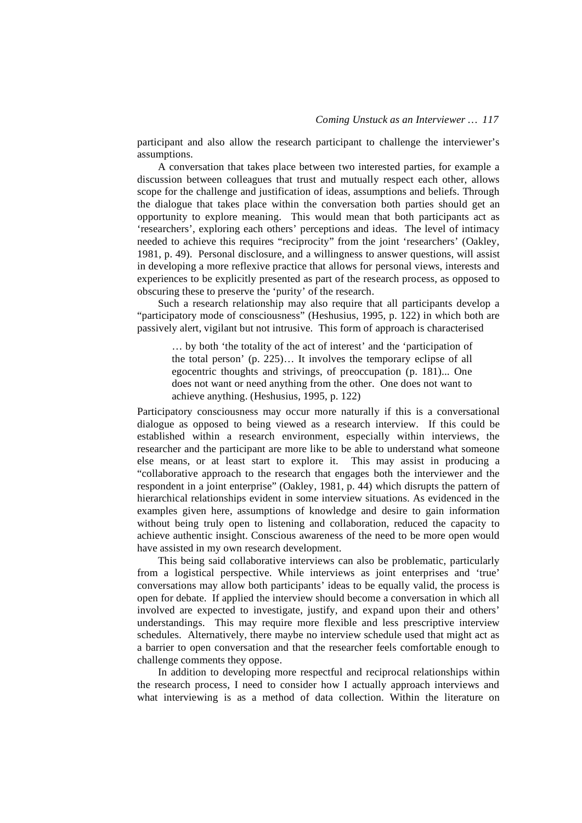participant and also allow the research participant to challenge the interviewer's assumptions.

A conversation that takes place between two interested parties, for example a discussion between colleagues that trust and mutually respect each other, allows scope for the challenge and justification of ideas, assumptions and beliefs. Through the dialogue that takes place within the conversation both parties should get an opportunity to explore meaning. This would mean that both participants act as 'researchers', exploring each others' perceptions and ideas. The level of intimacy needed to achieve this requires "reciprocity" from the joint 'researchers' (Oakley, 1981, p. 49). Personal disclosure, and a willingness to answer questions, will assist in developing a more reflexive practice that allows for personal views, interests and experiences to be explicitly presented as part of the research process, as opposed to obscuring these to preserve the 'purity' of the research.

Such a research relationship may also require that all participants develop a "participatory mode of consciousness" (Heshusius, 1995, p. 122) in which both are passively alert, vigilant but not intrusive. This form of approach is characterised

… by both 'the totality of the act of interest' and the 'participation of the total person' (p. 225)… It involves the temporary eclipse of all egocentric thoughts and strivings, of preoccupation (p. 181)... One does not want or need anything from the other. One does not want to achieve anything. (Heshusius, 1995, p. 122)

Participatory consciousness may occur more naturally if this is a conversational dialogue as opposed to being viewed as a research interview. If this could be established within a research environment, especially within interviews, the researcher and the participant are more like to be able to understand what someone else means, or at least start to explore it. This may assist in producing a "collaborative approach to the research that engages both the interviewer and the respondent in a joint enterprise" (Oakley, 1981, p. 44) which disrupts the pattern of hierarchical relationships evident in some interview situations. As evidenced in the examples given here, assumptions of knowledge and desire to gain information without being truly open to listening and collaboration, reduced the capacity to achieve authentic insight. Conscious awareness of the need to be more open would have assisted in my own research development.

This being said collaborative interviews can also be problematic, particularly from a logistical perspective. While interviews as joint enterprises and 'true' conversations may allow both participants' ideas to be equally valid, the process is open for debate. If applied the interview should become a conversation in which all involved are expected to investigate, justify, and expand upon their and others' understandings. This may require more flexible and less prescriptive interview schedules. Alternatively, there maybe no interview schedule used that might act as a barrier to open conversation and that the researcher feels comfortable enough to challenge comments they oppose.

In addition to developing more respectful and reciprocal relationships within the research process, I need to consider how I actually approach interviews and what interviewing is as a method of data collection. Within the literature on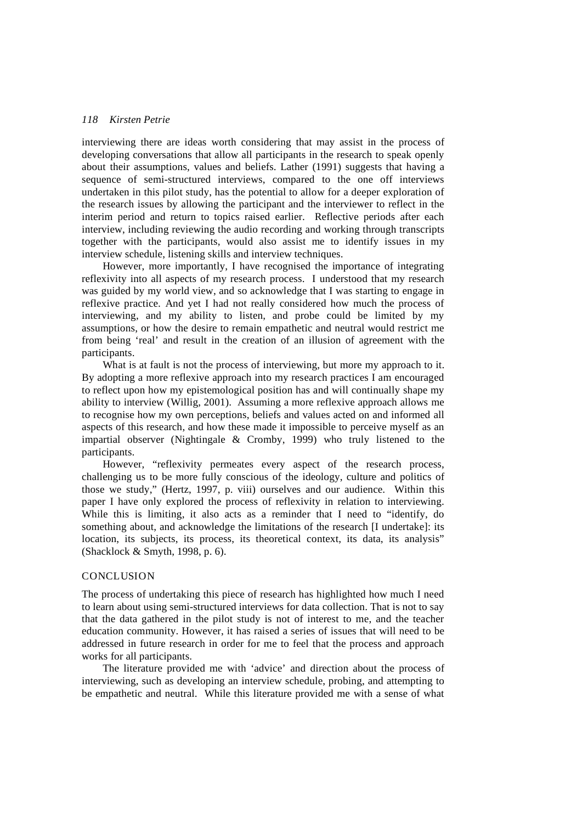interviewing there are ideas worth considering that may assist in the process of developing conversations that allow all participants in the research to speak openly about their assumptions, values and beliefs. Lather (1991) suggests that having a sequence of semi-structured interviews, compared to the one off interviews undertaken in this pilot study, has the potential to allow for a deeper exploration of the research issues by allowing the participant and the interviewer to reflect in the interim period and return to topics raised earlier. Reflective periods after each interview, including reviewing the audio recording and working through transcripts together with the participants, would also assist me to identify issues in my interview schedule, listening skills and interview techniques.

However, more importantly, I have recognised the importance of integrating reflexivity into all aspects of my research process. I understood that my research was guided by my world view, and so acknowledge that I was starting to engage in reflexive practice. And yet I had not really considered how much the process of interviewing, and my ability to listen, and probe could be limited by my assumptions, or how the desire to remain empathetic and neutral would restrict me from being 'real' and result in the creation of an illusion of agreement with the participants.

What is at fault is not the process of interviewing, but more my approach to it. By adopting a more reflexive approach into my research practices I am encouraged to reflect upon how my epistemological position has and will continually shape my ability to interview (Willig, 2001). Assuming a more reflexive approach allows me to recognise how my own perceptions, beliefs and values acted on and informed all aspects of this research, and how these made it impossible to perceive myself as an impartial observer (Nightingale & Cromby, 1999) who truly listened to the participants.

However, "reflexivity permeates every aspect of the research process, challenging us to be more fully conscious of the ideology, culture and politics of those we study," (Hertz, 1997, p. viii) ourselves and our audience. Within this paper I have only explored the process of reflexivity in relation to interviewing. While this is limiting, it also acts as a reminder that I need to "identify, do something about, and acknowledge the limitations of the research [I undertake]: its location, its subjects, its process, its theoretical context, its data, its analysis" (Shacklock & Smyth, 1998, p. 6).

#### **CONCLUSION**

The process of undertaking this piece of research has highlighted how much I need to learn about using semi-structured interviews for data collection. That is not to say that the data gathered in the pilot study is not of interest to me, and the teacher education community. However, it has raised a series of issues that will need to be addressed in future research in order for me to feel that the process and approach works for all participants.

The literature provided me with 'advice' and direction about the process of interviewing, such as developing an interview schedule, probing, and attempting to be empathetic and neutral. While this literature provided me with a sense of what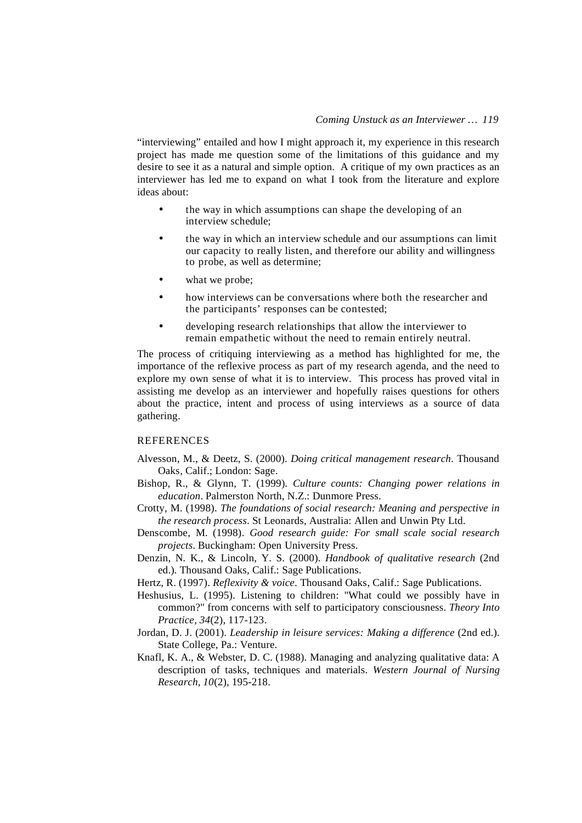"interviewing" entailed and how I might approach it, my experience in this research project has made me question some of the limitations of this guidance and my desire to see it as a natural and simple option. A critique of my own practices as an interviewer has led me to expand on what I took from the literature and explore ideas about:

- the way in which assumptions can shape the developing of an interview schedule;
- the way in which an interview schedule and our assumptions can limit our capacity to really listen, and therefore our ability and willingness to probe, as well as determine;
- what we probe;
- how interviews can be conversations where both the researcher and the participants' responses can be contested;
- developing research relationships that allow the interviewer to remain empathetic without the need to remain entirely neutral.

The process of critiquing interviewing as a method has highlighted for me, the importance of the reflexive process as part of my research agenda, and the need to explore my own sense of what it is to interview. This process has proved vital in assisting me develop as an interviewer and hopefully raises questions for others about the practice, intent and process of using interviews as a source of data gathering.

### **REFERENCES**

- Alvesson, M., & Deetz, S. (2000). *Doing critical management research*. Thousand Oaks, Calif.; London: Sage.
- Bishop, R., & Glynn, T. (1999). *Culture counts: Changing power relations in education*. Palmerston North, N.Z.: Dunmore Press.
- Crotty, M. (1998). *The foundations of social research: Meaning and perspective in the research process*. St Leonards, Australia: Allen and Unwin Pty Ltd.
- Denscombe, M. (1998). *Good research guide: For small scale social research projects*. Buckingham: Open University Press.
- Denzin, N. K., & Lincoln, Y. S. (2000). *Handbook of qualitative research* (2nd ed.). Thousand Oaks, Calif.: Sage Publications.
- Hertz, R. (1997). *Reflexivity & voice*. Thousand Oaks, Calif.: Sage Publications.
- Heshusius, L. (1995). Listening to children: "What could we possibly have in common?" from concerns with self to participatory consciousness. *Theory Into Practice, 34*(2), 117-123.
- Jordan, D. J. (2001). *Leadership in leisure services: Making a difference* (2nd ed.). State College, Pa.: Venture.
- Knafl, K. A., & Webster, D. C. (1988). Managing and analyzing qualitative data: A description of tasks, techniques and materials. *Western Journal of Nursing Research, 10*(2), 195-218.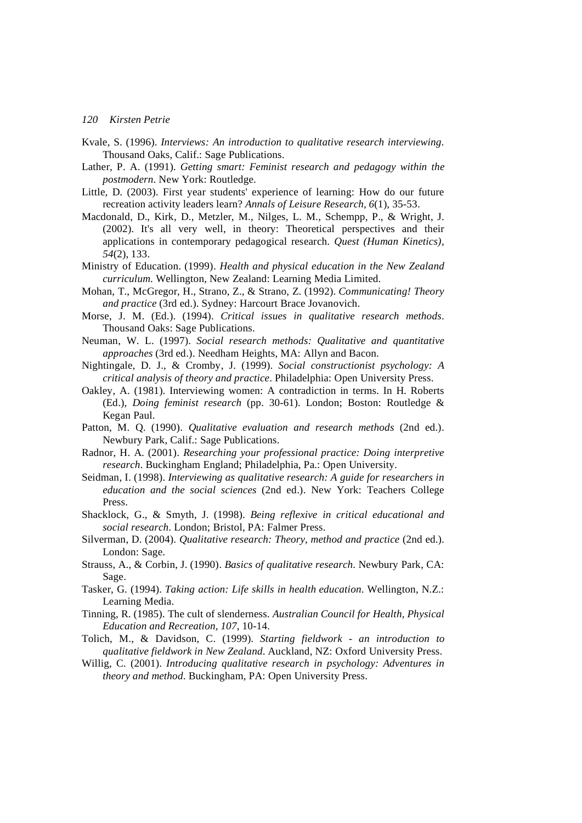- Kvale, S. (1996). *Interviews: An introduction to qualitative research interviewing*. Thousand Oaks, Calif.: Sage Publications.
- Lather, P. A. (1991). *Getting smart: Feminist research and pedagogy within the postmodern*. New York: Routledge.
- Little, D. (2003). First year students' experience of learning: How do our future recreation activity leaders learn? *Annals of Leisure Research, 6*(1), 35-53.
- Macdonald, D., Kirk, D., Metzler, M., Nilges, L. M., Schempp, P., & Wright, J. (2002). It's all very well, in theory: Theoretical perspectives and their applications in contemporary pedagogical research. *Quest (Human Kinetics), 54*(2), 133.
- Ministry of Education. (1999). *Health and physical education in the New Zealand curriculum*. Wellington, New Zealand: Learning Media Limited.
- Mohan, T., McGregor, H., Strano, Z., & Strano, Z. (1992). *Communicating! Theory and practice* (3rd ed.). Sydney: Harcourt Brace Jovanovich.
- Morse, J. M. (Ed.). (1994). *Critical issues in qualitative research methods*. Thousand Oaks: Sage Publications.
- Neuman, W. L. (1997). *Social research methods: Qualitative and quantitative approaches* (3rd ed.). Needham Heights, MA: Allyn and Bacon.
- Nightingale, D. J., & Cromby, J. (1999). *Social constructionist psychology: A critical analysis of theory and practice*. Philadelphia: Open University Press.
- Oakley, A. (1981). Interviewing women: A contradiction in terms. In H. Roberts (Ed.), *Doing feminist research* (pp. 30-61). London; Boston: Routledge & Kegan Paul.
- Patton, M. Q. (1990). *Qualitative evaluation and research methods* (2nd ed.). Newbury Park, Calif.: Sage Publications.
- Radnor, H. A. (2001). *Researching your professional practice: Doing interpretive research*. Buckingham England; Philadelphia, Pa.: Open University.
- Seidman, I. (1998). *Interviewing as qualitative research: A guide for researchers in education and the social sciences* (2nd ed.). New York: Teachers College Press.
- Shacklock, G., & Smyth, J. (1998). *Being reflexive in critical educational and social research*. London; Bristol, PA: Falmer Press.
- Silverman, D. (2004). *Qualitative research: Theory, method and practice* (2nd ed.). London: Sage.
- Strauss, A., & Corbin, J. (1990). *Basics of qualitative research*. Newbury Park, CA: Sage.
- Tasker, G. (1994). *Taking action: Life skills in health education*. Wellington, N.Z.: Learning Media.
- Tinning, R. (1985). The cult of slenderness. *Australian Council for Health, Physical Education and Recreation, 107*, 10-14.
- Tolich, M., & Davidson, C. (1999). *Starting fieldwork an introduction to qualitative fieldwork in New Zealand*. Auckland, NZ: Oxford University Press.
- Willig, C. (2001). *Introducing qualitative research in psychology: Adventures in theory and method*. Buckingham, PA: Open University Press.